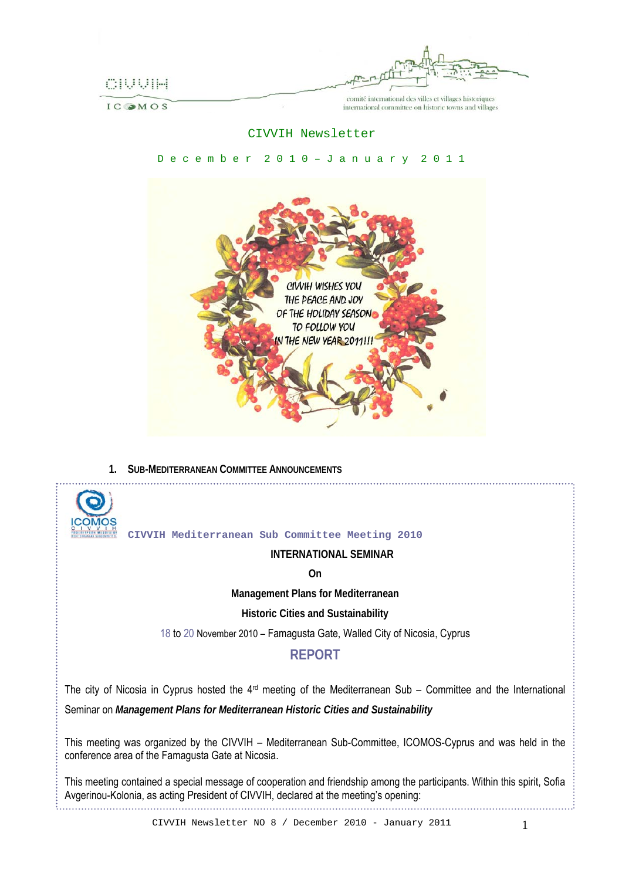

IC OMOS

comité international des villes et villages historiques international committee on historic towns and villages

# CIVVIH Newsletter

#### D e c e m b e r 2 0 1 0 – J a n u a r y 2 0 1 1



**1. SUB-MEDITERRANEAN COMMITTEE ANNOUNCEMENTS**



#### **CIVVIH Mediterranean Sub Committee Meeting 2010**

### **INTERNATIONAL SEMINAR**

**On** 

**Management Plans for Mediterranean** 

**Historic Cities and Sustainability** 

18 to 20 November 2010 – Famagusta Gate, Walled City of Nicosia, Cyprus

# **REPORT**

The city of Nicosia in Cyprus hosted the  $4<sup>rd</sup>$  meeting of the Mediterranean Sub – Committee and the International Seminar on *Management Plans for Mediterranean Historic Cities and Sustainability* 

This meeting was organized by the CIVVIH – Mediterranean Sub-Committee, ICOMOS-Cyprus and was held in the conference area of the Famagusta Gate at Nicosia.

This meeting contained a special message of cooperation and friendship among the participants. Within this spirit, Sofia Avgerinou-Kolonia, as acting President of CIVVIH, declared at the meeting's opening: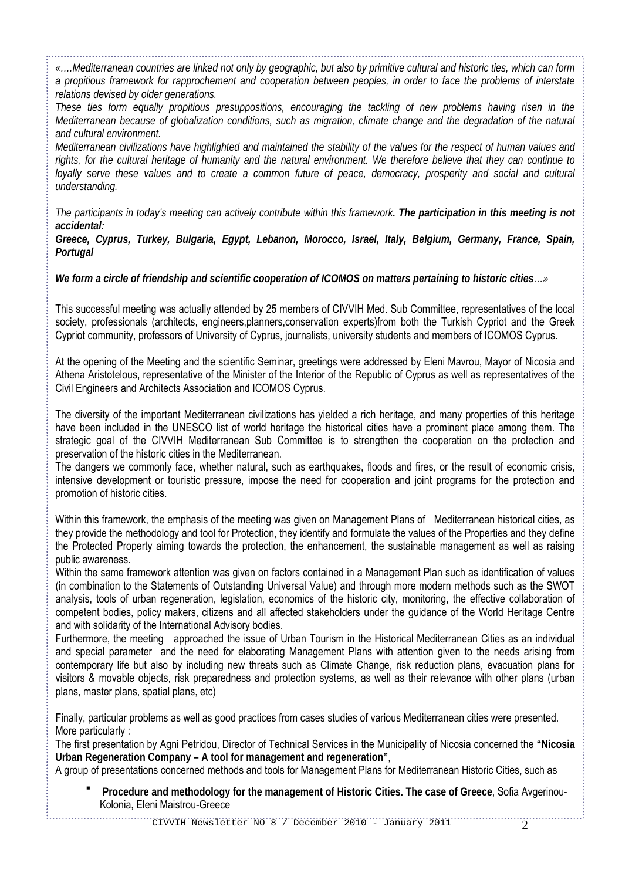*«….Mediterranean countries are linked not only by geographic, but also by primitive cultural and historic ties, which can form a propitious framework for rapprochement and cooperation between peoples, in order to face the problems of interstate relations devised by older generations.* 

*These ties form equally propitious presuppositions, encouraging the tackling of new problems having risen in the Mediterranean because of globalization conditions, such as migration, climate change and the degradation of the natural and cultural environment.* 

*Mediterranean civilizations have highlighted and maintained the stability of the values for the respect of human values and rights, for the cultural heritage of humanity and the natural environment. We therefore believe that they can continue to loyally serve these values and to create a common future of peace, democracy, prosperity and social and cultural understanding.* 

*The participants in today's meeting can actively contribute within this framework. The participation in this meeting is not accidental:* 

*Greece, Cyprus, Turkey, Bulgaria, Egypt, Lebanon, Morocco, Israel, Italy, Belgium, Germany, France, Spain, Portugal* 

*We form a circle of friendship and scientific cooperation of ICOMOS on matters pertaining to historic cities…»* 

This successful meeting was actually attended by 25 members of CIVVIH Med. Sub Committee, representatives of the local society, professionals (architects, engineers,planners,conservation experts)from both the Turkish Cypriot and the Greek Cypriot community, professors of University of Cyprus, journalists, university students and members of ICOMOS Cyprus.

At the opening of the Meeting and the scientific Seminar, greetings were addressed by Eleni Mavrou, Mayor of Nicosia and Athena Aristotelous, representative of the Minister of the Interior of the Republic of Cyprus as well as representatives of the Civil Engineers and Architects Association and ICOMOS Cyprus.

The diversity of the important Mediterranean civilizations has yielded a rich heritage, and many properties of this heritage have been included in the UNESCO list of world heritage the historical cities have a prominent place among them. The strategic goal of the CIVVIH Mediterranean Sub Committee is to strengthen the cooperation on the protection and preservation of the historic cities in the Mediterranean.

The dangers we commonly face, whether natural, such as earthquakes, floods and fires, or the result of economic crisis, intensive development or touristic pressure, impose the need for cooperation and joint programs for the protection and promotion of historic cities.

Within this framework, the emphasis of the meeting was given on Management Plans of Mediterranean historical cities, as they provide the methodology and tool for Protection, they identify and formulate the values of the Properties and they define the Protected Property aiming towards the protection, the enhancement, the sustainable management as well as raising public awareness.

Within the same framework attention was given on factors contained in a Management Plan such as identification of values (in combination to the Statements of Outstanding Universal Value) and through more modern methods such as the SWOT analysis, tools of urban regeneration, legislation, economics of the historic city, monitoring, the effective collaboration of competent bodies, policy makers, citizens and all affected stakeholders under the guidance of the World Heritage Centre and with solidarity of the International Advisory bodies.

Furthermore, the meeting approached the issue of Urban Tourism in the Historical Mediterranean Cities as an individual and special parameter and the need for elaborating Management Plans with attention given to the needs arising from contemporary life but also by including new threats such as Climate Change, risk reduction plans, evacuation plans for visitors & movable objects, risk preparedness and protection systems, as well as their relevance with other plans (urban plans, master plans, spatial plans, etc)

Finally, particular problems as well as good practices from cases studies of various Mediterranean cities were presented. More particularly :

The first presentation by Agni Petridou, Director of Technical Services in the Municipality of Nicosia concerned the **"Nicosia Urban Regeneration Company – A tool for management and regeneration"**,

A group of presentations concerned methods and tools for Management Plans for Mediterranean Historic Cities, such as

 **Procedure and methodology for the management of Historic Cities. The case of Greece**, Sofia Avgerinou-Kolonia, Eleni Maistrou-Greece

CIVVIH Newsletter NO 8 / December 2010 - January 2011 2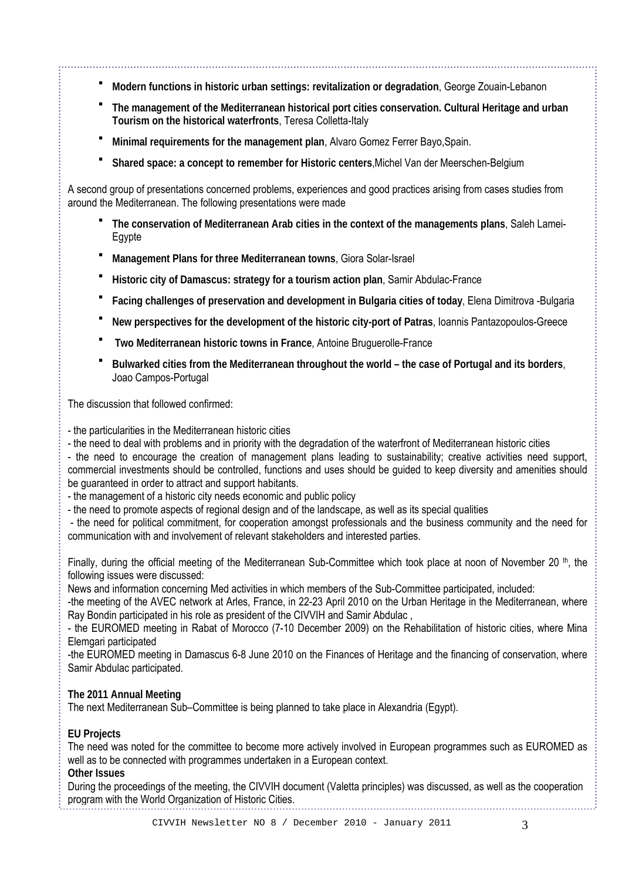- **Modern functions in historic urban settings: revitalization or degradation**, George Zouain-Lebanon
- **The management of the Mediterranean historical port cities conservation. Cultural Heritage and urban Tourism on the historical waterfronts**, Teresa Colletta-Italy
- **Minimal requirements for the management plan**, Alvaro Gomez Ferrer Bayo,Spain.
- **Shared space: a concept to remember for Historic centers**,Michel Van der Meerschen-Belgium

A second group of presentations concerned problems, experiences and good practices arising from cases studies from around the Mediterranean. The following presentations were made

- **The conservation of Mediterranean Arab cities in the context of the managements plans**, Saleh Lamei-Egypte
- **Management Plans for three Mediterranean towns**, Giora Solar-Israel
- **Historic city of Damascus: strategy for a tourism action plan**, Samir Abdulac-France
- **Facing challenges of preservation and development in Bulgaria cities of today**, Elena Dimitrova -Bulgaria
- **New perspectives for the development of the historic city-port of Patras**, Ioannis Pantazopoulos-Greece
- **Two Mediterranean historic towns in France**, Antoine Bruguerolle-France
- **Bulwarked cities from the Mediterranean throughout the world the case of Portugal and its borders**, Joao Campos-Portugal

The discussion that followed confirmed:

- the particularities in the Mediterranean historic cities

- the need to deal with problems and in priority with the degradation of the waterfront of Mediterranean historic cities

- the need to encourage the creation of management plans leading to sustainability; creative activities need support, commercial investments should be controlled, functions and uses should be guided to keep diversity and amenities should be guaranteed in order to attract and support habitants.

- the management of a historic city needs economic and public policy

- the need to promote aspects of regional design and of the landscape, as well as its special qualities

 - the need for political commitment, for cooperation amongst professionals and the business community and the need for communication with and involvement of relevant stakeholders and interested parties.

Finally, during the official meeting of the Mediterranean Sub-Committee which took place at noon of November 20  $t$ , the following issues were discussed:

News and information concerning Med activities in which members of the Sub-Committee participated, included:

-the meeting of the AVEC network at Arles, France, in 22-23 April 2010 on the Urban Heritage in the Mediterranean, where Ray Bondin participated in his role as president of the CIVVIH and Samir Abdulac ,

- the EUROMED meeting in Rabat of Morocco (7-10 December 2009) on the Rehabilitation of historic cities, where Mina Elemgari participated

-the EUROMED meeting in Damascus 6-8 June 2010 on the Finances of Heritage and the financing of conservation, where Samir Abdulac participated.

# **The 2011 Annual Meeting**

The next Mediterranean Sub–Committee is being planned to take place in Alexandria (Egypt).

# **EU Projects**

The need was noted for the committee to become more actively involved in European programmes such as EUROMED as well as to be connected with programmes undertaken in a European context.

# **Other Issues**

During the proceedings of the meeting, the CIVVIH document (Valetta principles) was discussed, as well as the cooperation program with the World Organization of Historic Cities.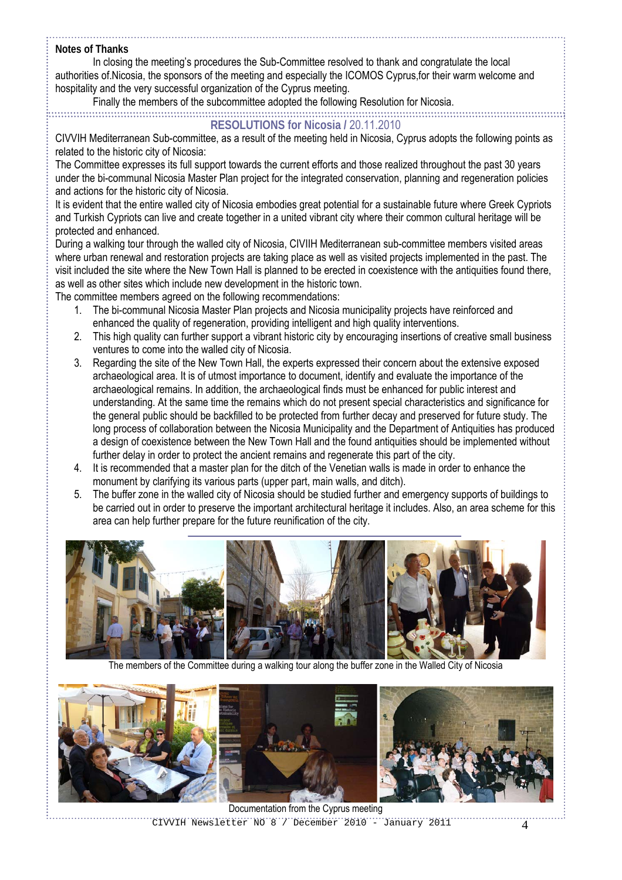### **Notes of Thanks**

In closing the meeting's procedures the Sub-Committee resolved to thank and congratulate the local authorities of.Nicosia, the sponsors of the meeting and especially the ICOMOS Cyprus,for their warm welcome and hospitality and the very successful organization of the Cyprus meeting.

Finally the members of the subcommittee adopted the following Resolution for Nicosia.

**RESOLUTIONS for Nicosia /** 20.11.2010

CIVVIH Mediterranean Sub-committee, as a result of the meeting held in Nicosia, Cyprus adopts the following points as related to the historic city of Nicosia:

The Committee expresses its full support towards the current efforts and those realized throughout the past 30 years under the bi-communal Nicosia Master Plan project for the integrated conservation, planning and regeneration policies and actions for the historic city of Nicosia.

It is evident that the entire walled city of Nicosia embodies great potential for a sustainable future where Greek Cypriots and Turkish Cypriots can live and create together in a united vibrant city where their common cultural heritage will be protected and enhanced.

During a walking tour through the walled city of Nicosia, CIVIIH Mediterranean sub-committee members visited areas where urban renewal and restoration projects are taking place as well as visited projects implemented in the past. The visit included the site where the New Town Hall is planned to be erected in coexistence with the antiquities found there, as well as other sites which include new development in the historic town.

The committee members agreed on the following recommendations:

- 1. The bi-communal Nicosia Master Plan projects and Nicosia municipality projects have reinforced and enhanced the quality of regeneration, providing intelligent and high quality interventions.
- 2. This high quality can further support a vibrant historic city by encouraging insertions of creative small business ventures to come into the walled city of Nicosia.
- 3. Regarding the site of the New Town Hall, the experts expressed their concern about the extensive exposed archaeological area. It is of utmost importance to document, identify and evaluate the importance of the archaeological remains. In addition, the archaeological finds must be enhanced for public interest and understanding. At the same time the remains which do not present special characteristics and significance for the general public should be backfilled to be protected from further decay and preserved for future study. The long process of collaboration between the Nicosia Municipality and the Department of Antiquities has produced a design of coexistence between the New Town Hall and the found antiquities should be implemented without further delay in order to protect the ancient remains and regenerate this part of the city.
- 4. It is recommended that a master plan for the ditch of the Venetian walls is made in order to enhance the monument by clarifying its various parts (upper part, main walls, and ditch).
- 5. The buffer zone in the walled city of Nicosia should be studied further and emergency supports of buildings to be carried out in order to preserve the important architectural heritage it includes. Also, an area scheme for this area can help further prepare for the future reunification of the city.



The members of the Committee during a walking tour along the buffer zone in the Walled City of Nicosia



CIVVIH Newsletter NO 8 / December 2010 - January 2011 4 Documentation from the Cyprus meeting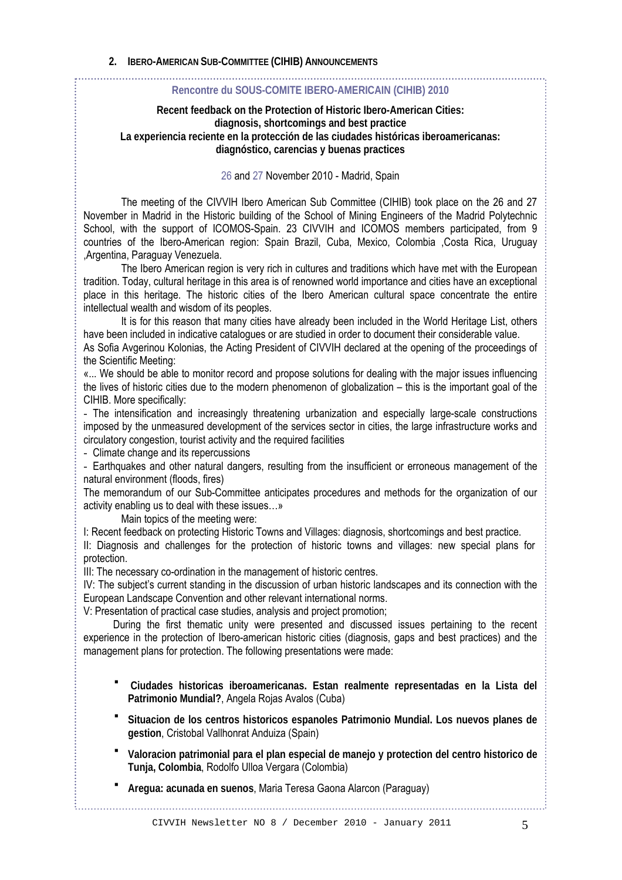## **Rencontre du SOUS-COMITE IBERO-AMERICAIN (CIHIB) 2010**

## **Recent feedback on the Protection of Historic Ibero-American Cities: diagnosis, shortcomings and best practice La experiencia reciente en la protección de las ciudades históricas iberoamericanas: diagnóstico, carencias y buenas practices**

26 and 27 November 2010 - Madrid, Spain

The meeting of the CIVVIH Ibero American Sub Committee (CIHIB) took place on the 26 and 27 November in Madrid in the Historic building of the School of Mining Engineers of the Madrid Polytechnic School, with the support of ICOMOS-Spain. 23 CIVVIH and ICOMOS members participated, from 9 countries of the Ibero-American region: Spain Brazil, Cuba, Mexico, Colombia ,Costa Rica, Uruguay ,Argentina, Paraguay Venezuela.

The Ibero American region is very rich in cultures and traditions which have met with the European tradition. Today, cultural heritage in this area is of renowned world importance and cities have an exceptional place in this heritage. The historic cities of the Ibero American cultural space concentrate the entire intellectual wealth and wisdom of its peoples.

It is for this reason that many cities have already been included in the World Heritage List, others have been included in indicative catalogues or are studied in order to document their considerable value.

As Sofia Avgerinou Kolonias, the Acting President of CIVVIH declared at the opening of the proceedings of the Scientific Meeting:

«... We should be able to monitor record and propose solutions for dealing with the major issues influencing the lives of historic cities due to the modern phenomenon of globalization – this is the important goal of the CIHIB. More specifically:

- The intensification and increasingly threatening urbanization and especially large-scale constructions imposed by the unmeasured development of the services sector in cities, the large infrastructure works and circulatory congestion, tourist activity and the required facilities

- Climate change and its repercussions

- Earthquakes and other natural dangers, resulting from the insufficient or erroneous management of the natural environment (floods, fires)

The memorandum of our Sub-Committee anticipates procedures and methods for the organization of our activity enabling us to deal with these issues…»

Main topics of the meeting were:

I: Recent feedback on protecting Historic Towns and Villages: diagnosis, shortcomings and best practice.

II: Diagnosis and challenges for the protection of historic towns and villages: new special plans for protection.

III: The necessary co-ordination in the management of historic centres.

IV: The subject's current standing in the discussion of urban historic landscapes and its connection with the European Landscape Convention and other relevant international norms.

V: Presentation of practical case studies, analysis and project promotion;

During the first thematic unity were presented and discussed issues pertaining to the recent experience in the protection of Ibero-american historic cities (diagnosis, gaps and best practices) and the management plans for protection. The following presentations were made:

- **Ciudades historicas iberoamericanas. Estan realmente representadas en la Lista del Patrimonio Mundial?**, Angela Rojas Avalos (Cuba)
- **Situacion de los centros historicos espanoles Patrimonio Mundial. Los nuevos planes de gestion**, Cristobal Vallhonrat Anduiza (Spain)
- **Valoracion patrimonial para el plan especial de manejo y protection del centro historico de Tunja, Colombia**, Rodolfo Ulloa Vergara (Colombia)
- **Aregua: acunada en suenos**, Maria Teresa Gaona Alarcon (Paraguay)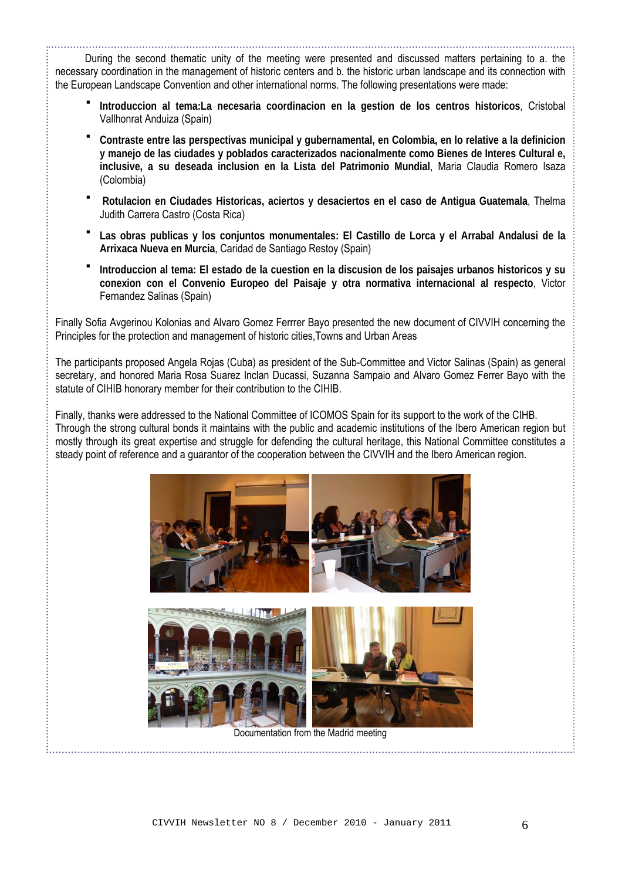During the second thematic unity of the meeting were presented and discussed matters pertaining to a. the necessary coordination in the management of historic centers and b. the historic urban landscape and its connection with the European Landscape Convention and other international norms. Τhe following presentations were made:

- **Introduccion al tema:La necesaria coordinacion en la gestion de los centros historicos**, Cristobal Vallhonrat Anduiza (Spain)
- **Contraste entre las perspectivas municipal y gubernamental, en Colombia, en lo relative a la definicion y manejo de las ciudades y poblados caracterizados nacionalmente como Bienes de Interes Cultural e, inclusive, a su deseada inclusion en la Lista del Patrimonio Mundial**, Maria Claudia Romero Isaza (Colombia)
- **Rotulacion en Ciudades Historicas, aciertos y desaciertos en el caso de Antigua Guatemala**, Thelma Judith Carrera Castro (Costa Rica)
- **Las obras publicas y los conjuntos monumentales: El Castillo de Lorca y el Arrabal Andalusi de la Arrixaca Nueva en Murcia**, Caridad de Santiago Restoy (Spain)
- **Introduccion al tema: El estado de la cuestion en la discusion de los paisajes urbanos historicos y su conexion con el Convenio Europeo del Paisaje y otra normativa internacional al respecto**, Victor Fernandez Salinas (Spain)

Finally Sofia Avgerinou Kolonias and Alvaro Gomez Ferrrer Bayo presented the new document of CIVVIH concerning the Principles for the protection and management of historic cities,Towns and Urban Areas

The participants proposed Angela Rojas (Cuba) as president of the Sub-Committee and Victor Salinas (Spain) as general secretary, and honored Maria Rosa Suarez Inclan Ducassi, Suzanna Sampaio and Alvaro Gomez Ferrer Bayo with the statute of CIHIB honorary member for their contribution to the CIHIB.

Finally, thanks were addressed to the National Committee of ICOMOS Spain for its support to the work of the CIHB. Through the strong cultural bonds it maintains with the public and academic institutions of the Ibero American region but mostly through its great expertise and struggle for defending the cultural heritage, this National Committee constitutes a steady point of reference and a guarantor of the cooperation between the CIVVIH and the Ibero American region.



Documentation from the Madrid meeting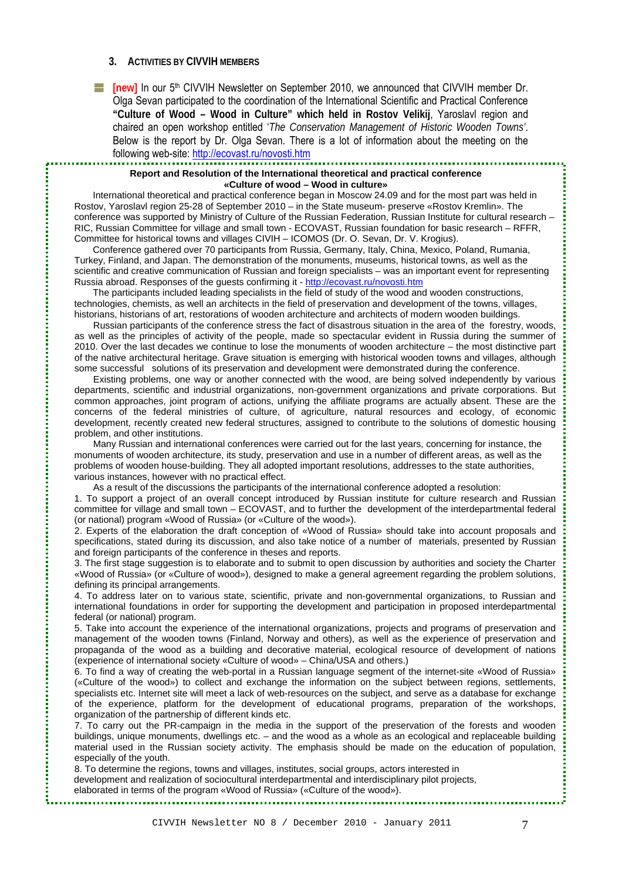#### **3. ACTIVITIES BY CIVVIH MEMBERS**

**[at licknary In our 5<sup>th</sup> CIVVIH Newsletter on September 2010, we announced that CIVVIH member Dr.** Olga Sevan participated to the coordination of the International Scientific and Practical Conference **"Culture of Wood – Wood in Culture" which held in Rostov Velikij**, Yaroslavl region and chaired an open workshop entitled '*The Conservation Management of Historic Wooden Towns'*. Below is the report by Dr. Olga Sevan. There is a lot of information about the meeting on the following web-site:<http://ecovast.ru/novosti.htm>

### **Report and Resolution of the International theoretical and practical conference «Culture of wood – Wood in culture»**

International theoretical and practical conference began in Moscow 24.09 and for the most part was held in Rostov, Yaroslavl region 25-28 of September 2010 – in the State museum- preserve «Rostov Kremlin». The conference was supported by Ministry of Culture of the Russian Federation. Russian Institute for cultural research – RIC, Russian Committee for village and small town - ECOVAST, Russian foundation for basic research – RFFR, Committee for historical towns and villages CIVIH – ICOMOS (Dr. O. Sevan, Dr. V. Krogius).

Conference gathered over 70 participants from Russia, Germany, Italy, China, Mexico, Poland, Rumania, Turkey, Finland, and Japan. The demonstration of the monuments, museums, historical towns, as well as the scientific and creative communication of Russian and foreign specialists – was an important event for representing Russia abroad. Responses of the guests confirming it -<http://ecovast.ru/novosti.htm>

The participants included leading specialists in the field of study of the wood and wooden constructions, technologies, chemists, as well an architects in the field of preservation and development of the towns, villages, historians, historians of art, restorations of wooden architecture and architects of modern wooden buildings.

Russian participants of the conference stress the fact of disastrous situation in the area of the forestry, woods, as well as the principles of activity of the people, made so spectacular evident in Russia during the summer of 2010. Over the last decades we continue to lose the monuments of wooden architecture – the most distinctive part of the native architectural heritage. Grave situation is emerging with historical wooden towns and villages, although some successful solutions of its preservation and development were demonstrated during the conference.

Existing problems, one way or another connected with the wood, are being solved independently by various departments, scientific and industrial organizations, non-government organizations and private corporations. But common approaches, joint program of actions, unifying the affiliate programs are actually absent. These are the concerns of the federal ministries of culture, of agriculture, natural resources and ecology, of economic development, recently created new federal structures, assigned to contribute to the solutions of domestic housing problem, and other institutions.

Many Russian and international conferences were carried out for the last years, concerning for instance, the monuments of wooden architecture, its study, preservation and use in a number of different areas, as well as the problems of wooden house-building. They all adopted important resolutions, addresses to the state authorities, various instances, however with no practical effect.

As a result of the discussions the participants of the international conference adopted a resolution:

1. To support a project of an overall concept introduced by Russian institute for culture research and Russian committee for village and small town – ECOVAST, and to further the development of the interdepartmental federal (or national) program «Wood of Russia» (or «Culture of the wood»).

2. Experts of the elaboration the draft conception of «Wood of Russia» should take into account proposals and specifications, stated during its discussion, and also take notice of a number of materials, presented by Russian and foreign participants of the conference in theses and reports.

3. The first stage suggestion is to elaborate and to submit to open discussion by authorities and society the Charter «Wood of Russia» (or «Culture of wood»), designed to make a general agreement regarding the problem solutions, defining its principal arrangements.

4. To address later on to various state, scientific, private and non-governmental organizations, to Russian and international foundations in order for supporting the development and participation in proposed interdepartmental federal (or national) program.

5. Take into account the experience of the international organizations, projects and programs of preservation and management of the wooden towns (Finland, Norway and others), as well as the experience of preservation and propaganda of the wood as a building and decorative material, ecological resource of development of nations (experience of international society «Culture of wood» – China/USA and others.)

6. To find a way of creating the web-portal in a Russian language segment of the internet-site «Wood of Russia» («Culture of the wood») to collect and exchange the information on the subject between regions, settlements, specialists etc. Internet site will meet a lack of web-resources on the subject, and serve as a database for exchange of the experience, platform for the development of educational programs, preparation of the workshops, organization of the partnership of different kinds etc.

7. To carry out the PR-campaign in the media in the support of the preservation of the forests and wooden buildings, unique monuments, dwellings etc. – and the wood as a whole as an ecological and replaceable building material used in the Russian society activity. The emphasis should be made on the education of population, especially of the youth.

8. To determine the regions, towns and villages, institutes, social groups, actors interested in

development and realization of sociocultural interdepartmental and interdisciplinary pilot projects,

 elaborated in terms of the program «Wood of Russia» («Culture of the wood»).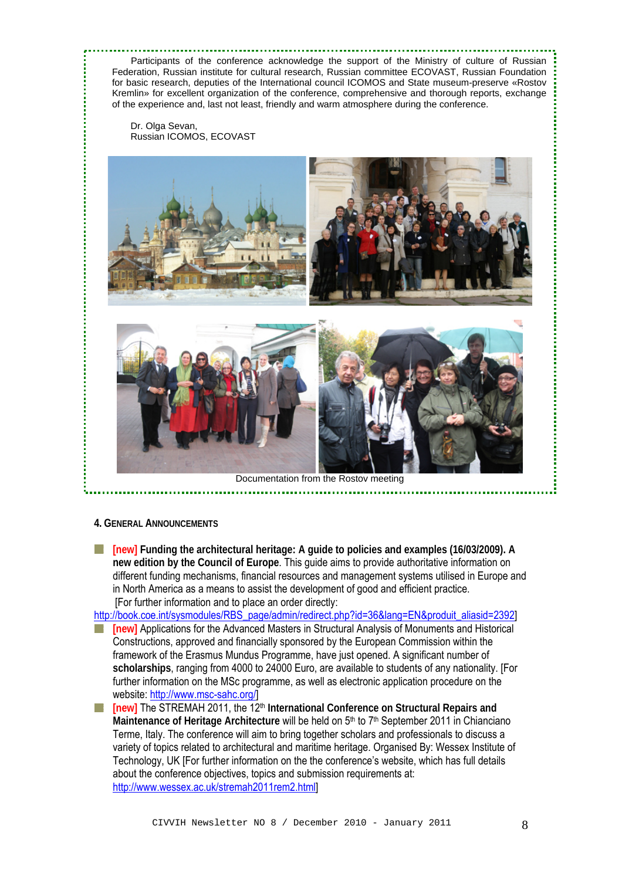Participants of the conference acknowledge the support of the Ministry of culture of Russian Federation, Russian institute for cultural research, Russian committee ECOVAST, Russian Foundation for basic research, deputies of the International council ICOMOS and State museum-preserve «Rostov Kremlin» for excellent organization of the conference, comprehensive and thorough reports, exchange of the experience and, last not least, friendly and warm atmosphere during the conference.

Dr. Olga Sevan, Russian ICOMOS, ECOVAST





**4. GENERAL ANNOUNCEMENTS**

**[new] Funding the architectural heritage: A guide to policies and examples (16/03/2009). A**  F III **new edition by the Council of Europe**. This guide aims to provide authoritative information on different funding mechanisms, financial resources and management systems utilised in Europe and in North America as a means to assist the development of good and efficient practice. [For further information and to place an order directly:

[http://book.coe.int/sysmodules/RBS\\_page/admin/redirect.php?id=36&lang=EN&produit\\_aliasid=2392](http://book.coe.int/sysmodules/RBS_page/admin/redirect.php?id=36&lang=EN&produit_aliasid=2392)1

- **[new]** Applications for the Advanced Masters in Structural Analysis of Monuments and Historical Constructions, approved and financially sponsored by the European Commission within the framework of the Erasmus Mundus Programme, have just opened. A significant number of **scholarships**, ranging from 4000 to 24000 Euro, are available to students of any nationality. [For further information on the MSc programme, as well as electronic application procedure on the website: [http://www.msc-sahc.org/\]](http://www.msc-sahc.org/)
- **<u>Inew]</u> The STREMAH 2011, the 12<sup>th</sup> International Conference on Structural Repairs and** Maintenance of Heritage Architecture will be held on 5<sup>th</sup> to 7<sup>th</sup> September 2011 in Chianciano Terme, Italy. The conference will aim to bring together scholars and professionals to discuss a variety of topics related to architectural and maritime heritage. Organised By: Wessex Institute of Technology, UK [For further information on the the conference's website, which has full details about the conference objectives, topics and submission requirements at: [http://www.wessex.ac.uk/stremah2011rem2.html\]](http://www.wessex.ac.uk/stremah2011rem2.html)